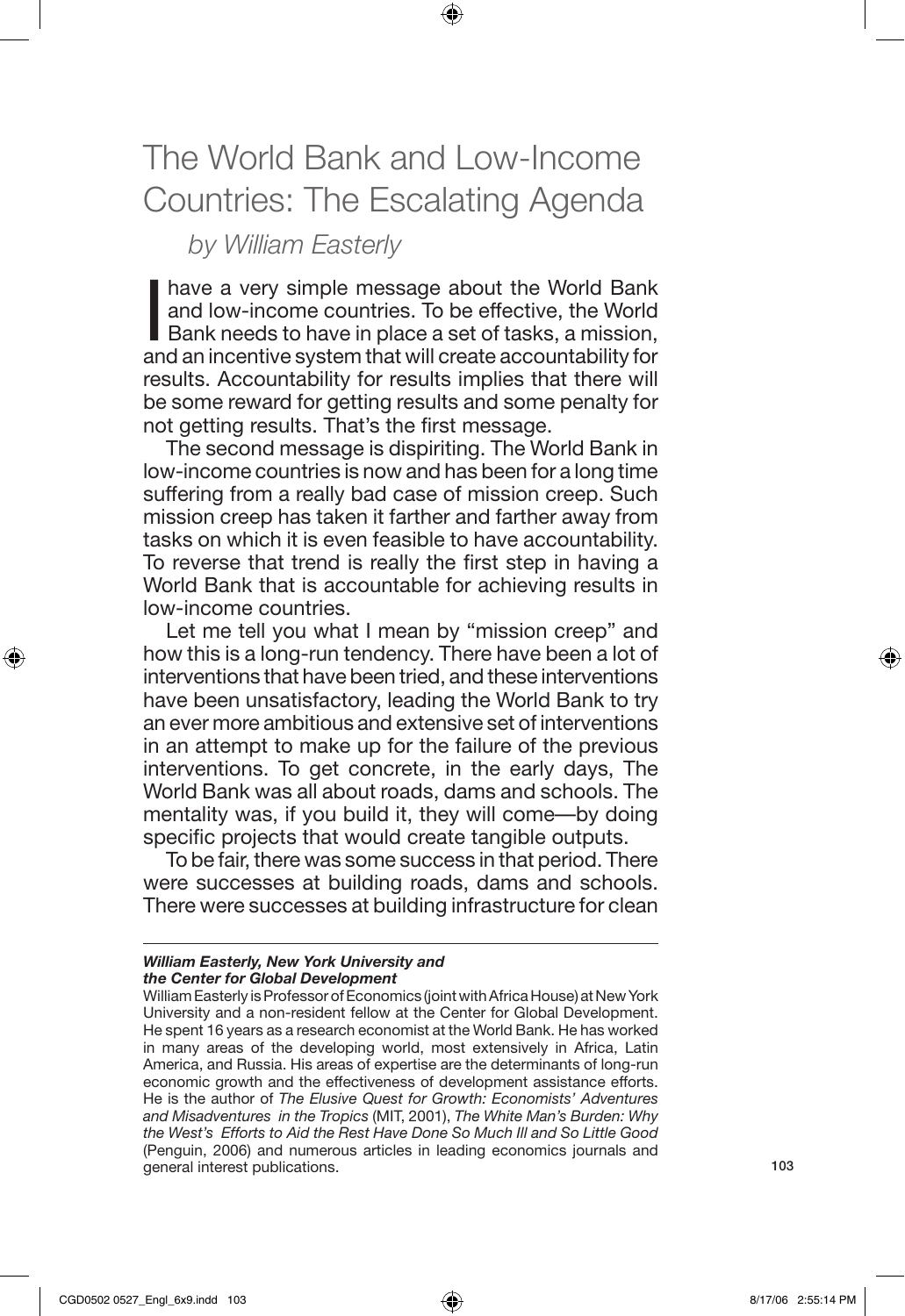## The World Bank and Low-Income Countries: The Escalating Agenda

⊕

## *by William Easterly*

have a very simple message about the World Bank<br>and low-income countries. To be effective, the World<br>Bank needs to have in place a set of tasks, a mission,<br>and an incentive system that will create accountability for have a very simple message about the World Bank and low-income countries. To be effective, the World Bank needs to have in place a set of tasks, a mission, results. Accountability for results implies that there will be some reward for getting results and some penalty for not getting results. That's the first message.

The second message is dispiriting. The World Bank in low-income countries is now and has been for a long time suffering from a really bad case of mission creep. Such mission creep has taken it farther and farther away from tasks on which it is even feasible to have accountability. To reverse that trend is really the first step in having a World Bank that is accountable for achieving results in low-income countries.

Let me tell you what I mean by "mission creep" and how this is a long-run tendency. There have been a lot of interventions that have been tried, and these interventions have been unsatisfactory, leading the World Bank to try an ever more ambitious and extensive set of interventions in an attempt to make up for the failure of the previous interventions. To get concrete, in the early days, The World Bank was all about roads, dams and schools. The mentality was, if you build it, they will come—by doing specific projects that would create tangible outputs.

To be fair, there was some success in that period. There were successes at building roads, dams and schools. There were successes at building infrastructure for clean

## *William Easterly, New York University and the Center for Global Development*

⊕

William Easterly is Professor of Economics (joint with Africa House) at New York University and a non-resident fellow at the Center for Global Development. He spent 16 years as a research economist at the World Bank. He has worked in many areas of the developing world, most extensively in Africa, Latin America, and Russia. His areas of expertise are the determinants of long-run economic growth and the effectiveness of development assistance efforts. He is the author of *The Elusive Quest for Growth: Economists' Adventures and Misadventures in the Tropics* (MIT, 2001), *The White Man's Burden: Why the West's Efforts to Aid the Rest Have Done So Much Ill and So Little Good* (Penguin, 2006) and numerous articles in leading economics journals and general interest publications.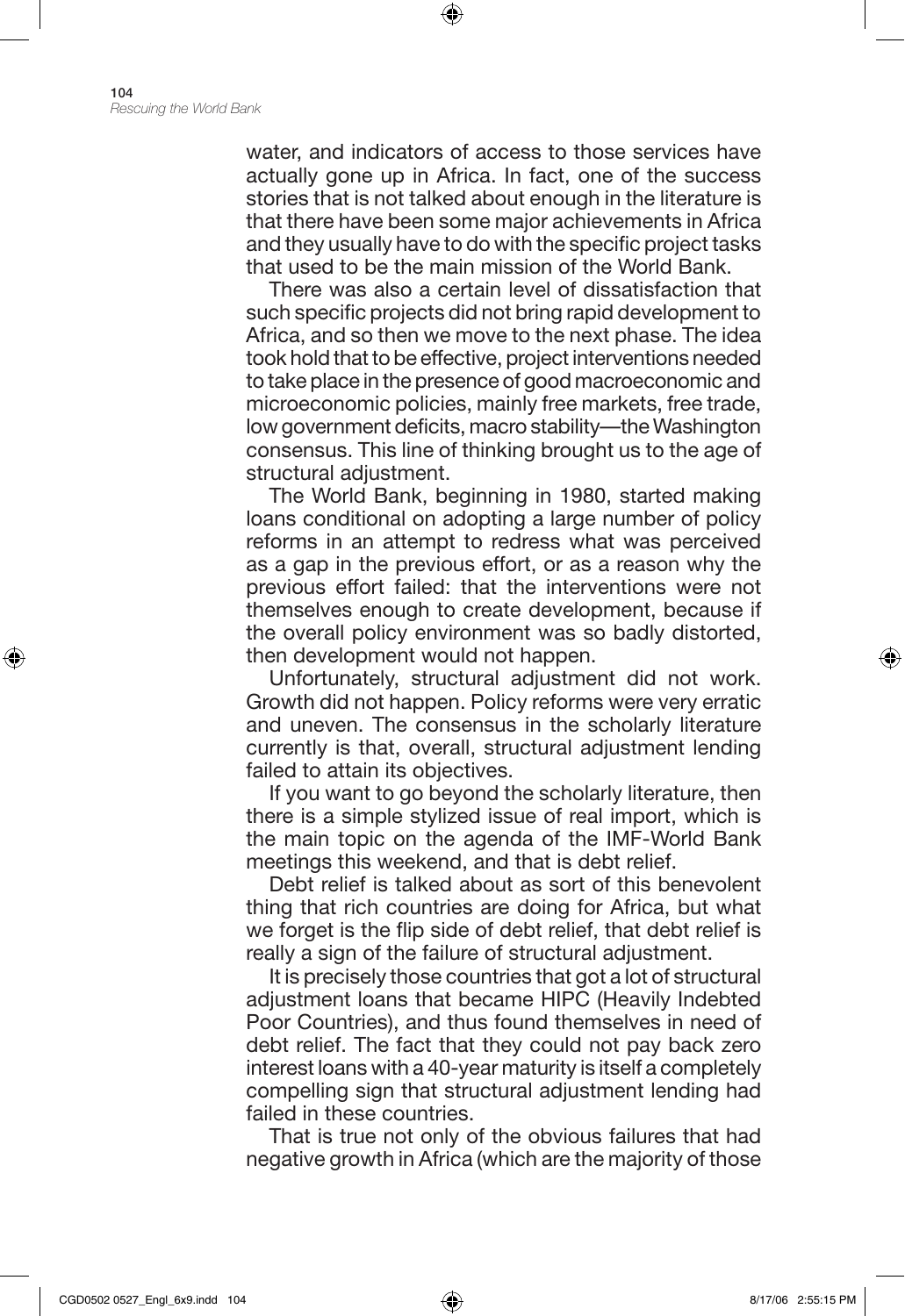water, and indicators of access to those services have actually gone up in Africa. In fact, one of the success stories that is not talked about enough in the literature is that there have been some major achievements in Africa and they usually have to do with the specific project tasks that used to be the main mission of the World Bank.

⊕

There was also a certain level of dissatisfaction that such specific projects did not bring rapid development to Africa, and so then we move to the next phase. The idea took hold that to be effective, project interventions needed to take place in the presence of good macroeconomic and microeconomic policies, mainly free markets, free trade, low government deficits, macro stability—the Washington consensus. This line of thinking brought us to the age of structural adjustment.

The World Bank, beginning in 1980, started making loans conditional on adopting a large number of policy reforms in an attempt to redress what was perceived as a gap in the previous effort, or as a reason why the previous effort failed: that the interventions were not themselves enough to create development, because if the overall policy environment was so badly distorted, then development would not happen.

Unfortunately, structural adjustment did not work. Growth did not happen. Policy reforms were very erratic and uneven. The consensus in the scholarly literature currently is that, overall, structural adjustment lending failed to attain its objectives.

If you want to go beyond the scholarly literature, then there is a simple stylized issue of real import, which is the main topic on the agenda of the IMF-World Bank meetings this weekend, and that is debt relief.

Debt relief is talked about as sort of this benevolent thing that rich countries are doing for Africa, but what we forget is the flip side of debt relief, that debt relief is really a sign of the failure of structural adjustment.

It is precisely those countries that got a lot of structural adjustment loans that became HIPC (Heavily Indebted Poor Countries), and thus found themselves in need of debt relief. The fact that they could not pay back zero interest loans with a 40-year maturity is itself a completely compelling sign that structural adjustment lending had failed in these countries.

That is true not only of the obvious failures that had negative growth in Africa (which are the majority of those

⊕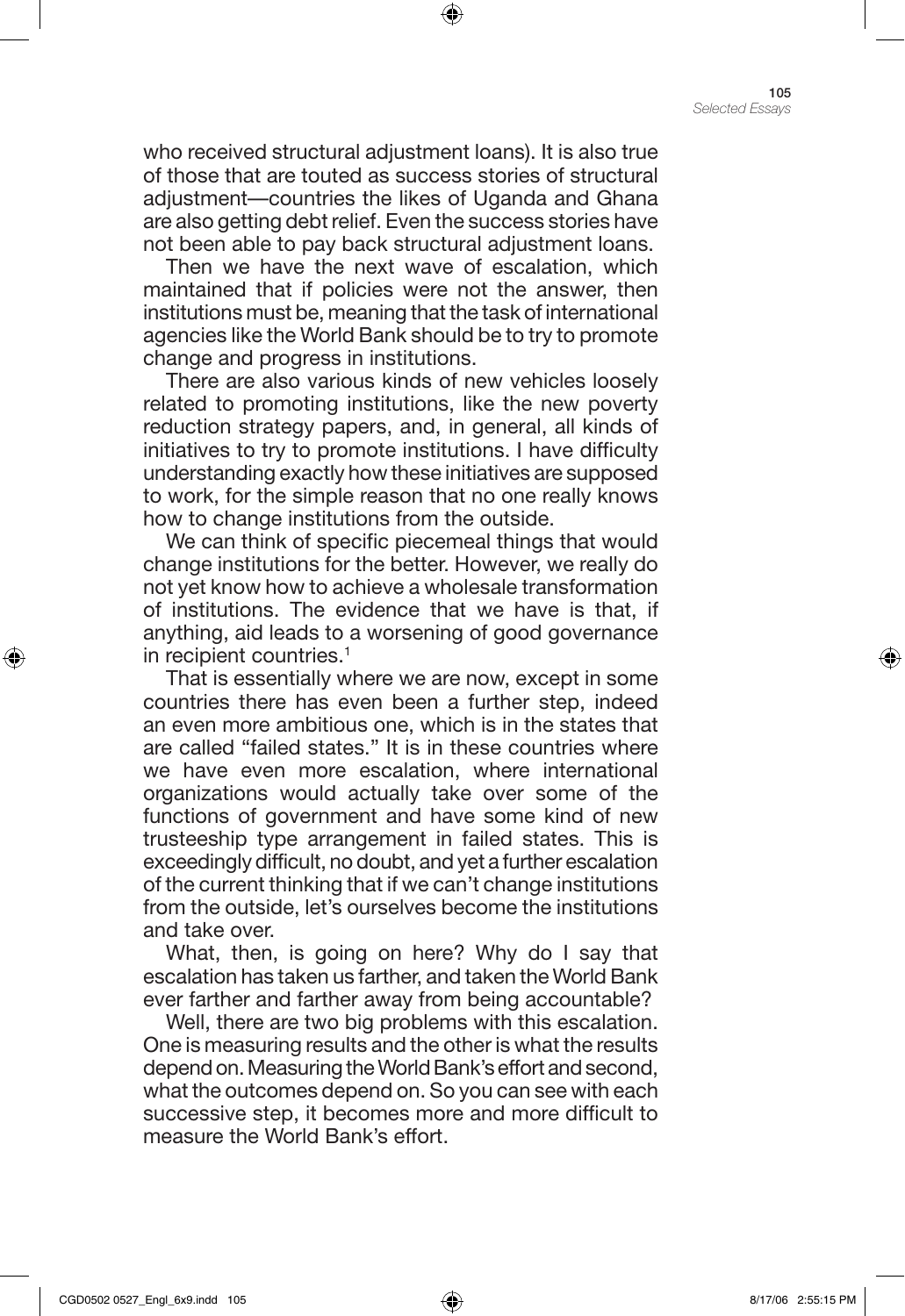who received structural adjustment loans). It is also true of those that are touted as success stories of structural adjustment—countries the likes of Uganda and Ghana are also getting debt relief. Even the success stories have not been able to pay back structural adjustment loans.

⊕

Then we have the next wave of escalation, which maintained that if policies were not the answer, then institutions must be, meaning that the task of international agencies like the World Bank should be to try to promote change and progress in institutions.

There are also various kinds of new vehicles loosely related to promoting institutions, like the new poverty reduction strategy papers, and, in general, all kinds of initiatives to try to promote institutions. I have difficulty understanding exactly how these initiatives are supposed to work, for the simple reason that no one really knows how to change institutions from the outside.

We can think of specific piecemeal things that would change institutions for the better. However, we really do not yet know how to achieve a wholesale transformation of institutions. The evidence that we have is that, if anything, aid leads to a worsening of good governance in recipient countries.<sup>1</sup>

That is essentially where we are now, except in some countries there has even been a further step, indeed an even more ambitious one, which is in the states that are called "failed states." It is in these countries where we have even more escalation, where international organizations would actually take over some of the functions of government and have some kind of new trusteeship type arrangement in failed states. This is exceedingly difficult, no doubt, and yet a further escalation of the current thinking that if we can't change institutions from the outside, let's ourselves become the institutions and take over.

What, then, is going on here? Why do I say that escalation has taken us farther, and taken the World Bank ever farther and farther away from being accountable?

Well, there are two big problems with this escalation. One is measuring results and the other is what the results depend on. Measuring the World Bank's effort and second, what the outcomes depend on. So you can see with each successive step, it becomes more and more difficult to measure the World Bank's effort.

⊕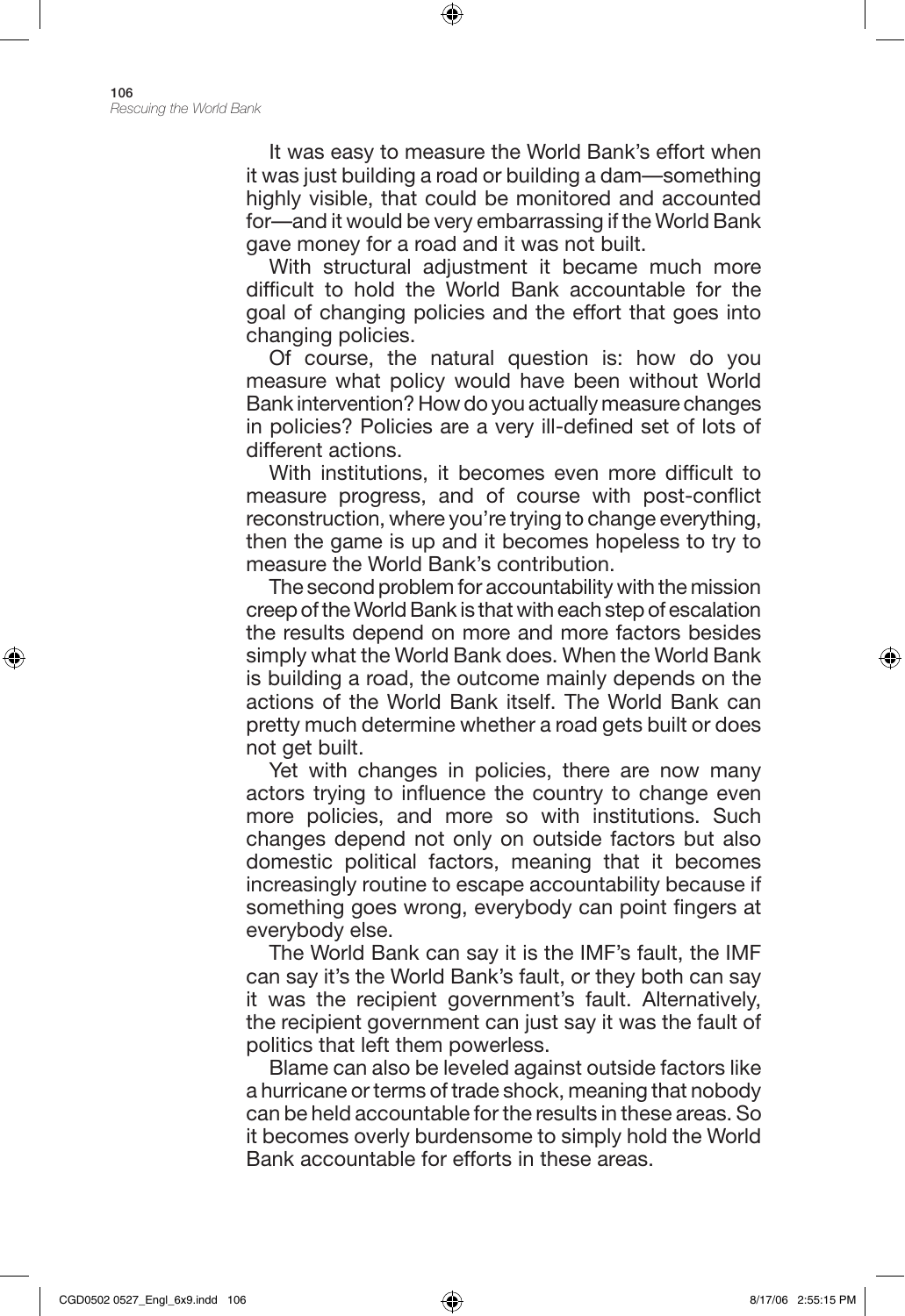It was easy to measure the World Bank's effort when it was just building a road or building a dam—something highly visible, that could be monitored and accounted for—and it would be very embarrassing if the World Bank gave money for a road and it was not built.

⊕

With structural adjustment it became much more difficult to hold the World Bank accountable for the goal of changing policies and the effort that goes into changing policies.

Of course, the natural question is: how do you measure what policy would have been without World Bank intervention? How do you actually measure changes in policies? Policies are a very ill-defined set of lots of different actions.

With institutions, it becomes even more difficult to measure progress, and of course with post-conflict reconstruction, where you're trying to change everything, then the game is up and it becomes hopeless to try to measure the World Bank's contribution.

The second problem for accountability with the mission creep of the World Bank is that with each step of escalation the results depend on more and more factors besides simply what the World Bank does. When the World Bank is building a road, the outcome mainly depends on the actions of the World Bank itself. The World Bank can pretty much determine whether a road gets built or does not get built.

Yet with changes in policies, there are now many actors trying to influence the country to change even more policies, and more so with institutions. Such changes depend not only on outside factors but also domestic political factors, meaning that it becomes increasingly routine to escape accountability because if something goes wrong, everybody can point fingers at everybody else.

The World Bank can say it is the IMF's fault, the IMF can say it's the World Bank's fault, or they both can say it was the recipient government's fault. Alternatively, the recipient government can just say it was the fault of politics that left them powerless.

Blame can also be leveled against outside factors like a hurricane or terms of trade shock, meaning that nobody can be held accountable for the results in these areas. So it becomes overly burdensome to simply hold the World Bank accountable for efforts in these areas.

⊕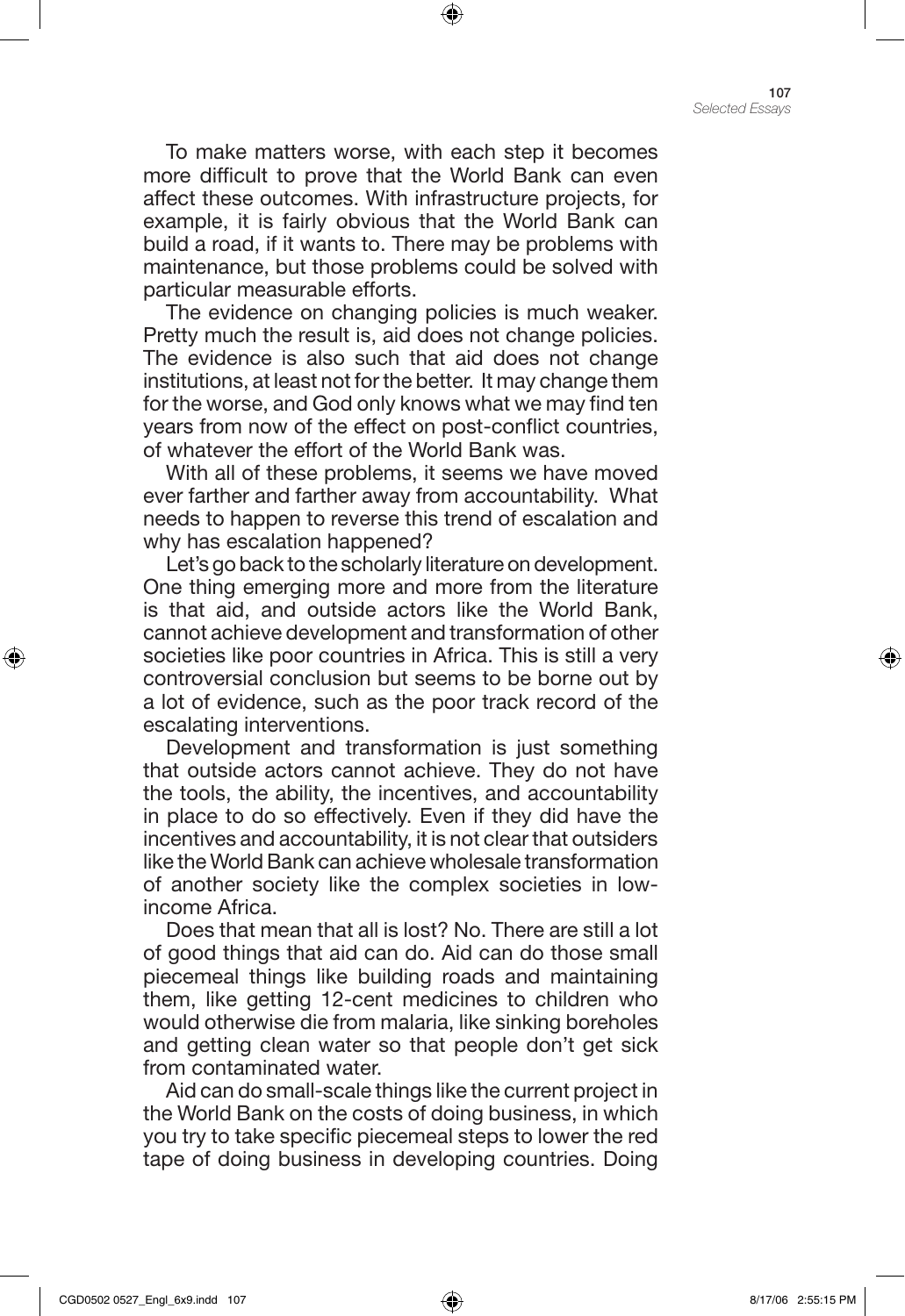To make matters worse, with each step it becomes more difficult to prove that the World Bank can even affect these outcomes. With infrastructure projects, for example, it is fairly obvious that the World Bank can build a road, if it wants to. There may be problems with maintenance, but those problems could be solved with particular measurable efforts.

⊕

The evidence on changing policies is much weaker. Pretty much the result is, aid does not change policies. The evidence is also such that aid does not change institutions, at least not for the better. It may change them for the worse, and God only knows what we may find ten years from now of the effect on post-conflict countries, of whatever the effort of the World Bank was.

With all of these problems, it seems we have moved ever farther and farther away from accountability. What needs to happen to reverse this trend of escalation and why has escalation happened?

Let's go back to the scholarly literature on development. One thing emerging more and more from the literature is that aid, and outside actors like the World Bank, cannot achieve development and transformation of other societies like poor countries in Africa. This is still a very controversial conclusion but seems to be borne out by a lot of evidence, such as the poor track record of the escalating interventions.

Development and transformation is just something that outside actors cannot achieve. They do not have the tools, the ability, the incentives, and accountability in place to do so effectively. Even if they did have the incentives and accountability, it is not clear that outsiders like the World Bank can achieve wholesale transformation of another society like the complex societies in lowincome Africa.

Does that mean that all is lost? No. There are still a lot of good things that aid can do. Aid can do those small piecemeal things like building roads and maintaining them, like getting 12-cent medicines to children who would otherwise die from malaria, like sinking boreholes and getting clean water so that people don't get sick from contaminated water.

Aid can do small-scale things like the current project in the World Bank on the costs of doing business, in which you try to take specific piecemeal steps to lower the red tape of doing business in developing countries. Doing

⊕